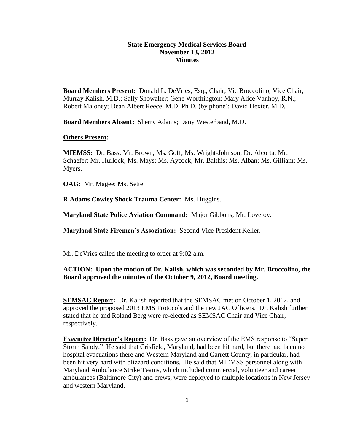## **State Emergency Medical Services Board November 13, 2012 Minutes**

**Board Members Present:** Donald L. DeVries, Esq., Chair; Vic Broccolino, Vice Chair; Murray Kalish, M.D.; Sally Showalter; Gene Worthington; Mary Alice Vanhoy, R.N.; Robert Maloney; Dean Albert Reece, M.D. Ph.D. (by phone); David Hexter, M.D.

**Board Members Absent:** Sherry Adams; Dany Westerband, M.D.

### **Others Present:**

**MIEMSS:** Dr. Bass; Mr. Brown; Ms. Goff; Ms. Wright-Johnson; Dr. Alcorta; Mr. Schaefer; Mr. Hurlock; Ms. Mays; Ms. Aycock; Mr. Balthis; Ms. Alban; Ms. Gilliam; Ms. Myers.

**OAG:** Mr. Magee; Ms. Sette.

**R Adams Cowley Shock Trauma Center:** Ms. Huggins.

**Maryland State Police Aviation Command:** Major Gibbons; Mr. Lovejoy.

**Maryland State Firemen's Association:** Second Vice President Keller.

Mr. DeVries called the meeting to order at 9:02 a.m.

# **ACTION: Upon the motion of Dr. Kalish, which was seconded by Mr. Broccolino, the Board approved the minutes of the October 9, 2012, Board meeting.**

**SEMSAC Report:** Dr. Kalish reported that the SEMSAC met on October 1, 2012, and approved the proposed 2013 EMS Protocols and the new JAC Officers. Dr. Kalish further stated that he and Roland Berg were re-elected as SEMSAC Chair and Vice Chair, respectively.

**Executive Director's Report:** Dr. Bass gave an overview of the EMS response to "Super Storm Sandy." He said that Crisfield, Maryland, had been hit hard, but there had been no hospital evacuations there and Western Maryland and Garrett County, in particular, had been hit very hard with blizzard conditions. He said that MIEMSS personnel along with Maryland Ambulance Strike Teams, which included commercial, volunteer and career ambulances (Baltimore City) and crews, were deployed to multiple locations in New Jersey and western Maryland.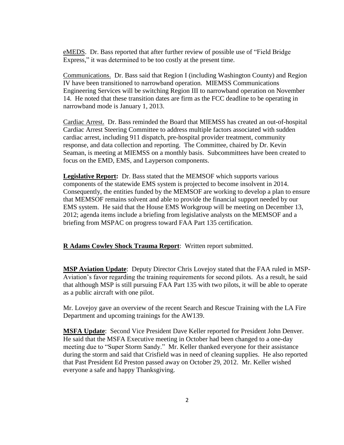eMEDS. Dr. Bass reported that after further review of possible use of "Field Bridge Express," it was determined to be too costly at the present time.

Communications. Dr. Bass said that Region I (including Washington County) and Region IV have been transitioned to narrowband operation. MIEMSS Communications Engineering Services will be switching Region III to narrowband operation on November 14. He noted that these transition dates are firm as the FCC deadline to be operating in narrowband mode is January 1, 2013.

Cardiac Arrest. Dr. Bass reminded the Board that MIEMSS has created an out-of-hospital Cardiac Arrest Steering Committee to address multiple factors associated with sudden cardiac arrest, including 911 dispatch, pre-hospital provider treatment, community response, and data collection and reporting. The Committee, chaired by Dr. Kevin Seaman, is meeting at MIEMSS on a monthly basis. Subcommittees have been created to focus on the EMD, EMS, and Layperson components.

**Legislative Report:** Dr. Bass stated that the MEMSOF which supports various components of the statewide EMS system is projected to become insolvent in 2014. Consequently, the entities funded by the MEMSOF are working to develop a plan to ensure that MEMSOF remains solvent and able to provide the financial support needed by our EMS system. He said that the House EMS Workgroup will be meeting on December 13, 2012; agenda items include a briefing from legislative analysts on the MEMSOF and a briefing from MSPAC on progress toward FAA Part 135 certification.

**R Adams Cowley Shock Trauma Report**: Written report submitted.

**MSP Aviation Update**: Deputy Director Chris Lovejoy stated that the FAA ruled in MSP-Aviation's favor regarding the training requirements for second pilots. As a result, he said that although MSP is still pursuing FAA Part 135 with two pilots, it will be able to operate as a public aircraft with one pilot.

Mr. Lovejoy gave an overview of the recent Search and Rescue Training with the LA Fire Department and upcoming trainings for the AW139.

**MSFA Update**: Second Vice President Dave Keller reported for President John Denver. He said that the MSFA Executive meeting in October had been changed to a one-day meeting due to "Super Storm Sandy." Mr. Keller thanked everyone for their assistance during the storm and said that Crisfield was in need of cleaning supplies. He also reported that Past President Ed Preston passed away on October 29, 2012. Mr. Keller wished everyone a safe and happy Thanksgiving.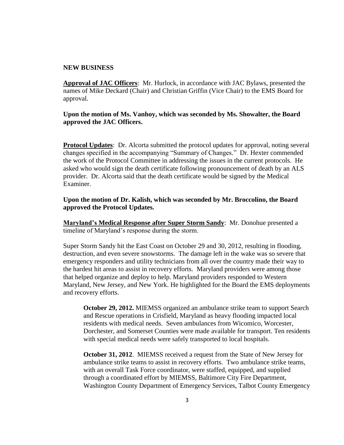### **NEW BUSINESS**

**Approval of JAC Officers**: Mr. Hurlock, in accordance with JAC Bylaws, presented the names of Mike Deckard (Chair) and Christian Griffin (Vice Chair) to the EMS Board for approval.

**Upon the motion of Ms. Vanhoy, which was seconded by Ms. Showalter, the Board approved the JAC Officers.** 

**Protocol Updates**: Dr. Alcorta submitted the protocol updates for approval, noting several changes specified in the accompanying "Summary of Changes." Dr. Hexter commended the work of the Protocol Committee in addressing the issues in the current protocols. He asked who would sign the death certificate following pronouncement of death by an ALS provider. Dr. Alcorta said that the death certificate would be signed by the Medical Examiner.

**Upon the motion of Dr. Kalish, which was seconded by Mr. Broccolino, the Board approved the Protocol Updates.** 

**Maryland's Medical Response after Super Storm Sandy**: Mr. Donohue presented a timeline of Maryland's response during the storm.

Super Storm Sandy hit the East Coast on October 29 and 30, 2012, resulting in flooding, destruction, and even severe snowstorms. The damage left in the wake was so severe that emergency responders and utility technicians from all over the country made their way to the hardest hit areas to assist in recovery efforts. Maryland providers were among those that helped organize and deploy to help. Maryland providers responded to Western Maryland, New Jersey, and New York. He highlighted for the Board the EMS deployments and recovery efforts.

**October 29, 2012.** MIEMSS organized an ambulance strike team to support Search and Rescue operations in Crisfield, Maryland as heavy flooding impacted local residents with medical needs. Seven ambulances from Wicomico, Worcester, Dorchester, and Somerset Counties were made available for transport. Ten residents with special medical needs were safely transported to local hospitals.

**October 31, 2012.** MIEMSS received a request from the State of New Jersey for ambulance strike teams to assist in recovery efforts. Two ambulance strike teams, with an overall Task Force coordinator, were staffed, equipped, and supplied through a coordinated effort by MIEMSS, Baltimore City Fire Department, Washington County Department of Emergency Services, Talbot County Emergency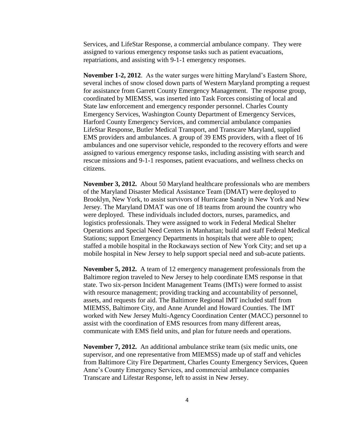Services, and LifeStar Response, a commercial ambulance company. They were assigned to various emergency response tasks such as patient evacuations, repatriations, and assisting with 9-1-1 emergency responses.

**November 1-2, 2012**. As the water surges were hitting Maryland's Eastern Shore, several inches of snow closed down parts of Western Maryland prompting a request for assistance from Garrett County Emergency Management. The response group, coordinated by MIEMSS, was inserted into Task Forces consisting of local and State law enforcement and emergency responder personnel. Charles County Emergency Services, Washington County Department of Emergency Services, Harford County Emergency Services, and commercial ambulance companies LifeStar Response, Butler Medical Transport, and Transcare Maryland, supplied EMS providers and ambulances. A group of 39 EMS providers, with a fleet of 16 ambulances and one supervisor vehicle, responded to the recovery efforts and were assigned to various emergency response tasks, including assisting with search and rescue missions and 9-1-1 responses, patient evacuations, and wellness checks on citizens.

**November 3, 2012.** About 50 Maryland healthcare professionals who are members of the Maryland Disaster Medical Assistance Team (DMAT) were deployed to Brooklyn, New York, to assist survivors of Hurricane Sandy in New York and New Jersey. The Maryland DMAT was one of 18 teams from around the country who were deployed. These individuals included doctors, nurses, paramedics, and logistics professionals. They were assigned to work in Federal Medical Shelter Operations and Special Need Centers in Manhattan; build and staff Federal Medical Stations; support Emergency Departments in hospitals that were able to open; staffed a mobile hospital in the Rockaways section of New York City; and set up a mobile hospital in New Jersey to help support special need and sub-acute patients.

**November 5, 2012.** A team of 12 emergency management professionals from the Baltimore region traveled to New Jersey to help coordinate EMS response in that state. Two six-person Incident Management Teams (IMTs) were formed to assist with resource management; providing tracking and accountability of personnel, assets, and requests for aid. The Baltimore Regional IMT included staff from MIEMSS, Baltimore City, and Anne Arundel and Howard Counties. The IMT worked with New Jersey Multi-Agency Coordination Center (MACC) personnel to assist with the coordination of EMS resources from many different areas, communicate with EMS field units, and plan for future needs and operations.

**November 7, 2012.** An additional ambulance strike team (six medic units, one supervisor, and one representative from MIEMSS) made up of staff and vehicles from Baltimore City Fire Department, Charles County Emergency Services, Queen Anne's County Emergency Services, and commercial ambulance companies Transcare and Lifestar Response, left to assist in New Jersey.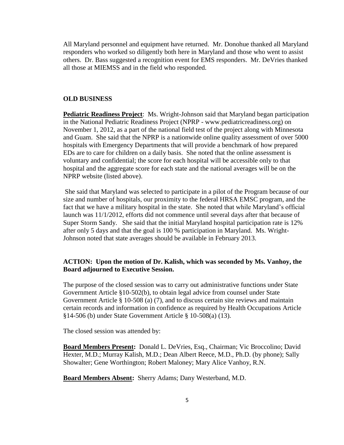All Maryland personnel and equipment have returned. Mr. Donohue thanked all Maryland responders who worked so diligently both here in Maryland and those who went to assist others. Dr. Bass suggested a recognition event for EMS responders. Mr. DeVries thanked all those at MIEMSS and in the field who responded.

### **OLD BUSINESS**

**Pediatric Readiness Project**: Ms. Wright-Johnson said that Maryland began participation in the National Pediatric Readiness Project (NPRP - www.pediatricreadiness.org) on November 1, 2012, as a part of the national field test of the project along with Minnesota and Guam. She said that the NPRP is a nationwide online quality assessment of over 5000 hospitals with Emergency Departments that will provide a benchmark of how prepared EDs are to care for children on a daily basis. She noted that the online assessment is voluntary and confidential; the score for each hospital will be accessible only to that hospital and the aggregate score for each state and the national averages will be on the NPRP website (listed above).

She said that Maryland was selected to participate in a pilot of the Program because of our size and number of hospitals, our proximity to the federal HRSA EMSC program, and the fact that we have a military hospital in the state. She noted that while Maryland's official launch was 11/1/2012, efforts did not commence until several days after that because of Super Storm Sandy. She said that the initial Maryland hospital participation rate is 12% after only 5 days and that the goal is 100 % participation in Maryland. Ms. Wright-Johnson noted that state averages should be available in February 2013.

## **ACTION: Upon the motion of Dr. Kalish, which was seconded by Ms. Vanhoy, the Board adjourned to Executive Session.**

The purpose of the closed session was to carry out administrative functions under State Government Article §10-502(b), to obtain legal advice from counsel under State Government Article § 10-508 (a) (7), and to discuss certain site reviews and maintain certain records and information in confidence as required by Health Occupations Article §14-506 (b) under State Government Article § 10-508(a) (13).

The closed session was attended by:

**Board Members Present:** Donald L. DeVries, Esq., Chairman; Vic Broccolino; David Hexter, M.D.; Murray Kalish, M.D.; Dean Albert Reece, M.D., Ph.D. (by phone); Sally Showalter; Gene Worthington; Robert Maloney; Mary Alice Vanhoy, R.N.

**Board Members Absent:** Sherry Adams; Dany Westerband, M.D.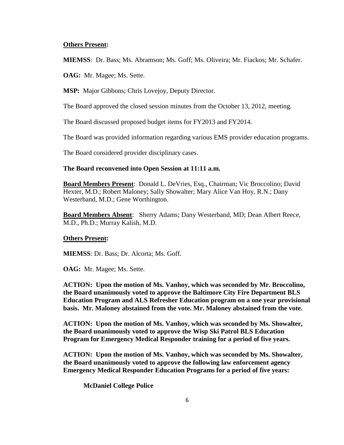### **Others Present:**

**MIEMSS**: Dr. Bass; Ms. Abramson; Ms. Goff; Ms. Oliveira; Mr. Fiackos; Mr. Schafer.

**OAG:** Mr. Magee; Ms. Sette.

**MSP:** Major Gibbons; Chris Lovejoy, Deputy Director.

The Board approved the closed session minutes from the October 13, 2012, meeting.

The Board discussed proposed budget items for FY2013 and FY2014.

The Board was provided information regarding various EMS provider education programs.

The Board considered provider disciplinary cases.

#### **The Board reconvened into Open Session at 11:11 a.m.**

**Board Members Present**: Donald L. DeVries, Esq., Chairman; Vic Broccolino; David Hexter, M.D.; Robert Maloney; Sally Showalter; Mary Alice Van Hoy, R.N.; Dany Westerband, M.D.; Gene Worthington.

**Board Members Absent**: Sherry Adams; Dany Westerband, MD; Dean Albert Reece, M.D., Ph.D.; Murray Kalish, M.D.

#### **Others Present:**

**MIEMSS**: Dr. Bass; Dr. Alcorta; Ms. Goff.

**OAG:** Mr. Magee; Ms. Sette.

**ACTION: Upon the motion of Ms. Vanhoy, which was seconded by Mr. Broccolino, the Board unanimously voted to approve the Baltimore City Fire Department BLS Education Program and ALS Refresher Education program on a one year provisional basis. Mr. Maloney abstained from the vote. Mr. Maloney abstained from the vote.**

**ACTION: Upon the motion of Ms. Vanhoy, which was seconded by Ms. Showalter, the Board unanimously voted to approve the Wisp Ski Patrol BLS Education Program for Emergency Medical Responder training for a period of five years.** 

**ACTION: Upon the motion of Ms. Vanhoy, which was seconded by Ms. Showalter, the Board unanimously voted to approve the following law enforcement agency Emergency Medical Responder Education Programs for a period of five years:**

**McDaniel College Police**